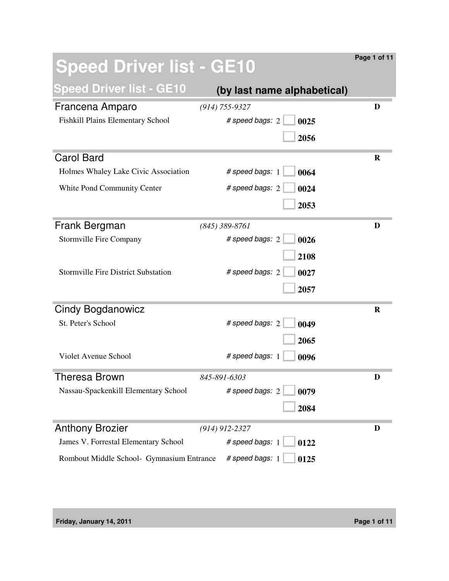| <b>Speed Driver list - GE10</b>            |                             | Page 1 of 11 |
|--------------------------------------------|-----------------------------|--------------|
| <b>Speed Driver list - GE10</b>            | (by last name alphabetical) |              |
| Francena Amparo                            | $(914) 755 - 9327$          | D            |
| Fishkill Plains Elementary School          | # speed bags: 2<br>0025     |              |
|                                            | 2056                        |              |
| <b>Carol Bard</b>                          |                             | $\bf R$      |
| Holmes Whaley Lake Civic Association       | # speed bags: 1<br>0064     |              |
| White Pond Community Center                | # speed bags: 2<br>0024     |              |
|                                            | 2053                        |              |
| Frank Bergman                              | $(845)$ 389-8761            | D            |
| Stormville Fire Company                    | # speed bags: 2<br>0026     |              |
|                                            | 2108                        |              |
| <b>Stormville Fire District Substation</b> | # speed bags: 2<br>0027     |              |
|                                            | 2057                        |              |
| Cindy Bogdanowicz                          |                             | $\mathbf R$  |
| St. Peter's School                         | # speed bags: 2<br>0049     |              |
|                                            | 2065                        |              |
| <b>Violet Avenue School</b>                | # speed bags: 1<br>0096     |              |
| Theresa Brown                              | 845-891-6303                | D            |
| Nassau-Spackenkill Elementary School       | # speed bags: 2<br>0079     |              |
|                                            | 2084                        |              |
| <b>Anthony Brozier</b>                     | $(914)$ 912-2327            | D            |
| James V. Forrestal Elementary School       | # speed bags: 1<br>0122     |              |
| Rombout Middle School- Gymnasium Entrance  | # speed bags: 1<br>0125     |              |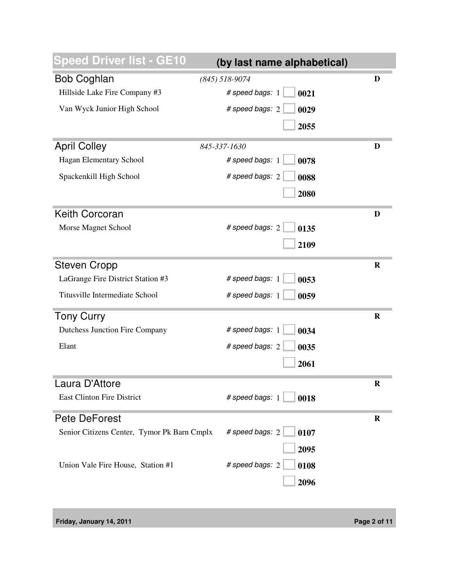| peed Driver list - GE10                     | (by last name alphabetical) |             |
|---------------------------------------------|-----------------------------|-------------|
| <b>Bob Coghlan</b>                          | $(845)$ 518-9074            | D           |
| Hillside Lake Fire Company #3               | # speed bags: 1<br>0021     |             |
| Van Wyck Junior High School                 | # speed bags: 2<br>0029     |             |
|                                             | 2055                        |             |
| <b>April Colley</b>                         | 845-337-1630                | D           |
| Hagan Elementary School                     | # speed bags: 1<br>0078     |             |
| Spackenkill High School                     | # speed bags: 2<br>0088     |             |
|                                             | 2080                        |             |
| <b>Keith Corcoran</b>                       |                             | D           |
| Morse Magnet School                         | # speed bags: 2<br>0135     |             |
|                                             | 2109                        |             |
| <b>Steven Cropp</b>                         |                             | $\mathbf R$ |
| LaGrange Fire District Station #3           | # speed bags: 1<br>0053     |             |
| Titusville Intermediate School              | # speed bags: 1<br>0059     |             |
| <b>Tony Curry</b>                           |                             | $\mathbf R$ |
| <b>Dutchess Junction Fire Company</b>       | # speed bags: 1<br>0034     |             |
| Elant                                       | # speed bags: 2<br>0035     |             |
|                                             | 2061                        |             |
| Laura D'Attore                              |                             | $\bf R$     |
| <b>East Clinton Fire District</b>           | # speed bags: 1<br>0018     |             |
| <b>Pete DeForest</b>                        |                             | $\bf R$     |
| Senior Citizens Center, Tymor Pk Barn Cmplx | # speed bags: 2<br>0107     |             |
|                                             | 2095                        |             |
| Union Vale Fire House, Station #1           | # speed bags: 2<br>0108     |             |
|                                             | 2096                        |             |
|                                             |                             |             |

**Friday, January 14, 2011 Page 2 of 11**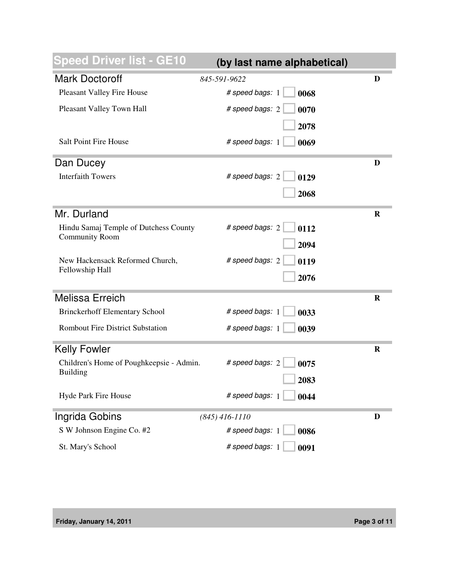| peed Driver list - GE10                  | (by last name alphabetical) |             |
|------------------------------------------|-----------------------------|-------------|
| <b>Mark Doctoroff</b>                    | 845-591-9622                | D           |
| Pleasant Valley Fire House               | # speed bags: 1<br>0068     |             |
| Pleasant Valley Town Hall                | # speed bags: 2<br>0070     |             |
|                                          | 2078                        |             |
| Salt Point Fire House                    | # speed bags: 1<br>0069     |             |
| Dan Ducey                                |                             | D           |
| <b>Interfaith Towers</b>                 | # speed bags: 2<br>0129     |             |
|                                          | 2068                        |             |
| Mr. Durland                              |                             | R           |
| Hindu Samaj Temple of Dutchess County    | # speed bags: 2<br>0112     |             |
| <b>Community Room</b>                    | 2094                        |             |
| New Hackensack Reformed Church,          | # speed bags: 2<br>0119     |             |
| Fellowship Hall                          | 2076                        |             |
| <b>Melissa Erreich</b>                   |                             | $\mathbf R$ |
| <b>Brinckerhoff Elementary School</b>    | # speed bags: 1<br>0033     |             |
| <b>Rombout Fire District Substation</b>  | # speed bags: 1<br>0039     |             |
| <b>Kelly Fowler</b>                      |                             | $\bf R$     |
| Children's Home of Poughkeepsie - Admin. | # speed bags: 2<br>0075     |             |
| <b>Building</b>                          | 2083                        |             |
| Hyde Park Fire House                     | # speed bags: 1<br>0044     |             |
| Ingrida Gobins                           | $(845)$ 416-1110            | D           |
| S W Johnson Engine Co. #2                | # speed bags: 1<br>0086     |             |
| St. Mary's School                        | # speed bags: 1<br>0091     |             |

**Friday, January 14, 2011 Page 3 of 11**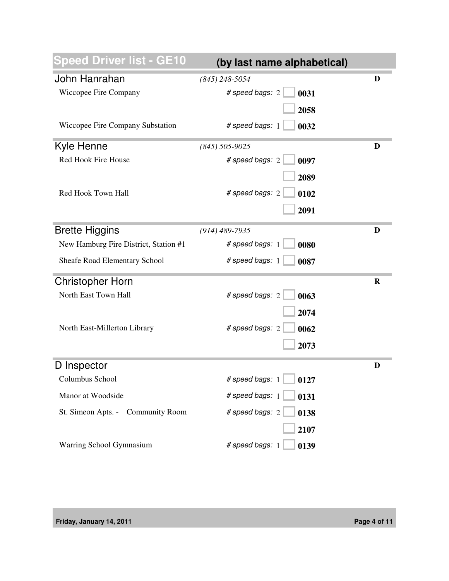| <b>Speed Driver list - GE10</b>       | (by last name alphabetical) |         |
|---------------------------------------|-----------------------------|---------|
| John Hanrahan                         | $(845)$ 248-5054            | D       |
| Wiccopee Fire Company                 | # speed bags: 2<br>0031     |         |
|                                       | 2058                        |         |
| Wiccopee Fire Company Substation      | # speed bags: 1<br>0032     |         |
| Kyle Henne                            | $(845) 505 - 9025$          | D       |
| Red Hook Fire House                   | # speed bags: 2<br>0097     |         |
|                                       | 2089                        |         |
| Red Hook Town Hall                    | # speed bags: 2<br>0102     |         |
|                                       | 2091                        |         |
| <b>Brette Higgins</b>                 | $(914)$ 489-7935            | D       |
| New Hamburg Fire District, Station #1 | # speed bags: 1<br>0080     |         |
| Sheafe Road Elementary School         | # speed bags: 1<br>0087     |         |
| <b>Christopher Horn</b>               |                             | $\bf R$ |
| North East Town Hall                  | # speed bags: 2<br>0063     |         |
|                                       | 2074                        |         |
| North East-Millerton Library          | # speed bags: 2<br>0062     |         |
|                                       | 2073                        |         |
| D Inspector                           |                             | D       |
| Columbus School                       | # speed bags: $1 \mid 0127$ |         |
| Manor at Woodside                     | # speed bags: 1<br>0131     |         |
| St. Simeon Apts. - Community Room     | # speed bags: 2<br>0138     |         |
|                                       | 2107                        |         |
| Warring School Gymnasium              | # speed bags: 1<br>0139     |         |

**Friday, January 14, 2011 Page 4 of 11**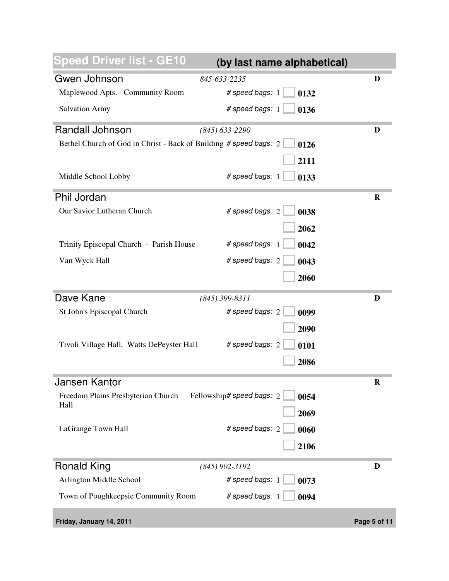| peed Driver list - GE10                                           | (by last name alphabetical)       |              |
|-------------------------------------------------------------------|-----------------------------------|--------------|
| Gwen Johnson                                                      | 845-633-2235                      | D            |
| Maplewood Apts. - Community Room                                  | # speed bags: 1<br>0132           |              |
| <b>Salvation Army</b>                                             | # speed bags: 1<br>0136           |              |
| <b>Randall Johnson</b>                                            | $(845)$ 633-2290                  | D            |
| Bethel Church of God in Christ - Back of Building # speed bags: 2 | 0126                              |              |
|                                                                   | 2111                              |              |
| Middle School Lobby                                               | # speed bags: 1<br>0133           |              |
| Phil Jordan                                                       |                                   | R            |
| Our Savior Lutheran Church                                        | # speed bags: 2<br>0038           |              |
|                                                                   | 2062                              |              |
| Trinity Episcopal Church - Parish House                           | # speed bags: 1<br>0042           |              |
| Van Wyck Hall                                                     | # speed bags: 2                   |              |
|                                                                   | 0043                              |              |
|                                                                   | 2060                              |              |
| Dave Kane                                                         | $(845)$ 399-8311                  | D            |
| St John's Episcopal Church                                        | # speed bags: 2<br>0099           |              |
|                                                                   | 2090                              |              |
| Tivoli Village Hall, Watts DePeyster Hall                         | # speed bags: 2<br>0101           |              |
|                                                                   |                                   |              |
|                                                                   | 2086                              |              |
| Jansen Kantor                                                     |                                   | K            |
| Freedom Plains Presbyterian Church                                | Fellowship# speed bags: 2<br>0054 |              |
| Hall                                                              | 2069                              |              |
| LaGrange Town Hall                                                | # speed bags: 2<br>0060           |              |
|                                                                   | 2106                              |              |
|                                                                   |                                   |              |
| <b>Ronald King</b>                                                | $(845)$ 902-3192                  | D            |
| Arlington Middle School                                           | # speed bags: 1<br>0073           |              |
| Town of Poughkeepsie Community Room                               | # speed bags: 1<br>0094           |              |
| Friday, January 14, 2011                                          |                                   | Page 5 of 11 |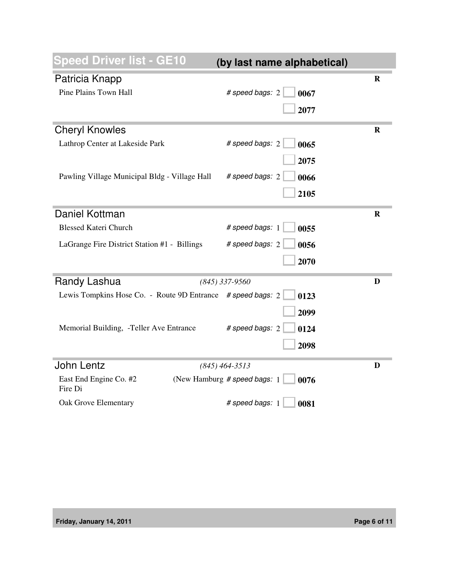| peed Driver list - GE10                                     | (by last name alphabetical)           |             |
|-------------------------------------------------------------|---------------------------------------|-------------|
| Patricia Knapp                                              |                                       | R           |
| Pine Plains Town Hall                                       | # speed bags: 2<br>0067               |             |
|                                                             | 2077                                  |             |
| <b>Cheryl Knowles</b>                                       |                                       | $\mathbf R$ |
| Lathrop Center at Lakeside Park                             | # speed bags: 2<br>0065               |             |
|                                                             | 2075                                  |             |
|                                                             |                                       |             |
| Pawling Village Municipal Bldg - Village Hall               | # speed bags: 2<br>0066               |             |
|                                                             | 2105                                  |             |
| Daniel Kottman                                              |                                       | $\mathbf R$ |
| <b>Blessed Kateri Church</b>                                | # speed bags: 1<br>0055               |             |
| LaGrange Fire District Station #1 - Billings                | # speed bags: 2<br>0056               |             |
|                                                             | 2070                                  |             |
|                                                             |                                       |             |
| Randy Lashua                                                | $(845)$ 337-9560                      | D           |
| Lewis Tompkins Hose Co. - Route 9D Entrance # speed bags: 2 | 0123                                  |             |
|                                                             | 2099                                  |             |
| Memorial Building, -Teller Ave Entrance                     | # speed bags: 2<br>0124               |             |
|                                                             | 2098                                  |             |
|                                                             |                                       |             |
| <b>John Lentz</b>                                           | $(845)$ 464-3513                      | D           |
| East End Engine Co. #2<br>Fire Di                           | (New Hamburg # speed bags: 1)<br>0076 |             |
| Oak Grove Elementary                                        | # speed bags: 1<br>0081               |             |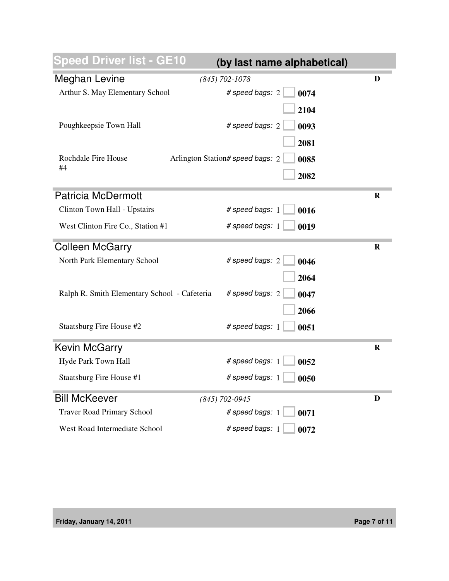| <b>Speed Driver list - GE10</b>              | (by last name alphabetical)              |             |
|----------------------------------------------|------------------------------------------|-------------|
| <b>Meghan Levine</b>                         | $(845)$ 702-1078                         | D           |
| Arthur S. May Elementary School              | # speed bags: 2<br>0074                  |             |
|                                              | 2104                                     |             |
| Poughkeepsie Town Hall                       | # speed bags: 2<br>0093                  |             |
|                                              | 2081                                     |             |
| Rochdale Fire House                          | Arlington Station# speed bags: 2<br>0085 |             |
| #4                                           | 2082                                     |             |
|                                              |                                          |             |
| <b>Patricia McDermott</b>                    |                                          | R           |
| Clinton Town Hall - Upstairs                 | # speed bags: 1<br>0016                  |             |
| West Clinton Fire Co., Station #1            | # speed bags: 1<br>0019                  |             |
| <b>Colleen McGarry</b>                       |                                          | R           |
| North Park Elementary School                 | # speed bags: 2<br>0046                  |             |
|                                              | 2064                                     |             |
| Ralph R. Smith Elementary School - Cafeteria | # speed bags: 2<br>0047                  |             |
|                                              | 2066                                     |             |
| Staatsburg Fire House #2                     | # speed bags: 1<br>0051                  |             |
| <b>Kevin McGarry</b>                         |                                          | $\mathbf R$ |
| Hyde Park Town Hall                          | # speed bags: 1<br>0052                  |             |
| Staatsburg Fire House #1                     | # speed bags: 1<br>0050                  |             |
| <b>Bill McKeever</b>                         | $(845)$ 702-0945                         | D           |
| <b>Traver Road Primary School</b>            | # speed bags: 1<br>0071                  |             |
| West Road Intermediate School                | # speed bags: 1<br>0072                  |             |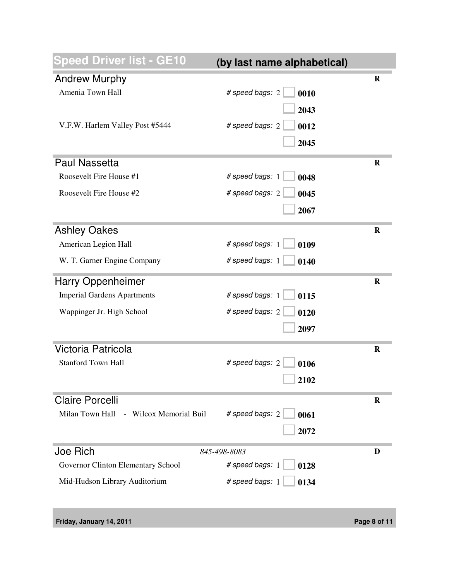| <b>peed Driver list - GE10</b>            | (by last name alphabetical) |             |
|-------------------------------------------|-----------------------------|-------------|
| <b>Andrew Murphy</b>                      |                             | $\mathbf R$ |
| Amenia Town Hall                          | # speed bags: 2<br>0010     |             |
|                                           | 2043                        |             |
| V.F.W. Harlem Valley Post #5444           | # speed bags: 2<br>0012     |             |
|                                           | 2045                        |             |
|                                           |                             |             |
| <b>Paul Nassetta</b>                      |                             | $\mathbf R$ |
| Roosevelt Fire House #1                   | # speed bags: 1<br>0048     |             |
| Roosevelt Fire House #2                   | # speed bags: 2<br>0045     |             |
|                                           | 2067                        |             |
| <b>Ashley Oakes</b>                       |                             | $\mathbf R$ |
| American Legion Hall                      | # speed bags: 1<br>0109     |             |
| W. T. Garner Engine Company               | # speed bags: 1<br>0140     |             |
| <b>Harry Oppenheimer</b>                  |                             | $\mathbf R$ |
| <b>Imperial Gardens Apartments</b>        | # speed bags: 1<br>0115     |             |
| Wappinger Jr. High School                 | # speed bags: 2<br>0120     |             |
|                                           | 2097                        |             |
| Victoria Patricola                        |                             | R           |
| <b>Stanford Town Hall</b>                 | # speed bags: 2<br>0106     |             |
|                                           | 2102                        |             |
|                                           |                             |             |
| <b>Claire Porcelli</b>                    |                             | R           |
| Milan Town Hall<br>- Wilcox Memorial Buil | # speed bags: 2<br>0061     |             |
|                                           | 2072                        |             |
| Joe Rich                                  | 845-498-8083                | D           |
| Governor Clinton Elementary School        | # speed bags: 1<br>0128     |             |
| Mid-Hudson Library Auditorium             | # speed bags: 1<br>0134     |             |
|                                           |                             |             |

**Friday, January 14, 2011 Page 8 of 11**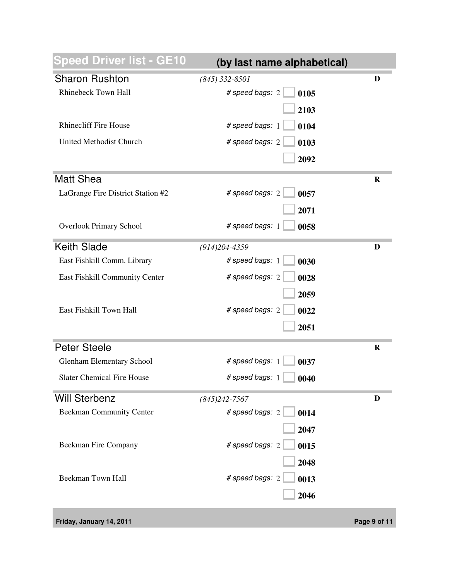| <b>Speed Driver list - GE10</b>   | (by last name alphabetical) |         |
|-----------------------------------|-----------------------------|---------|
| <b>Sharon Rushton</b>             | $(845)$ 332-8501            | D       |
| <b>Rhinebeck Town Hall</b>        | # speed bags: 2<br>0105     |         |
|                                   | 2103                        |         |
| <b>Rhinecliff Fire House</b>      | # speed bags: 1<br>0104     |         |
| United Methodist Church           | # speed bags: 2<br>0103     |         |
|                                   | 2092                        |         |
| <b>Matt Shea</b>                  |                             | $\bf R$ |
| LaGrange Fire District Station #2 | # speed bags: 2<br>0057     |         |
|                                   | 2071                        |         |
| <b>Overlook Primary School</b>    | # speed bags: 1<br>0058     |         |
| <b>Keith Slade</b>                | $(914)204 - 4359$           | D       |
| East Fishkill Comm. Library       | # speed bags: 1<br>0030     |         |
| East Fishkill Community Center    | # speed bags: 2<br>0028     |         |
|                                   | 2059                        |         |
| East Fishkill Town Hall           | # speed bags: 2<br>0022     |         |
|                                   | 2051                        |         |
| <b>Peter Steele</b>               |                             | $\bf R$ |
| <b>Glenham Elementary School</b>  | # speed bags: 1<br>0037     |         |
| <b>Slater Chemical Fire House</b> | # speed bags: 1<br>0040     |         |
| <b>Will Sterbenz</b>              | $(845)242 - 7567$           | D       |
| <b>Beekman Community Center</b>   | # speed bags: 2<br>0014     |         |
|                                   | 2047                        |         |
| Beekman Fire Company              | # speed bags: 2<br>0015     |         |
|                                   | 2048                        |         |
| Beekman Town Hall                 | # speed bags: 2<br>0013     |         |
|                                   | 2046                        |         |
|                                   |                             |         |

**Friday, January 14, 2011 Page 9 of 11**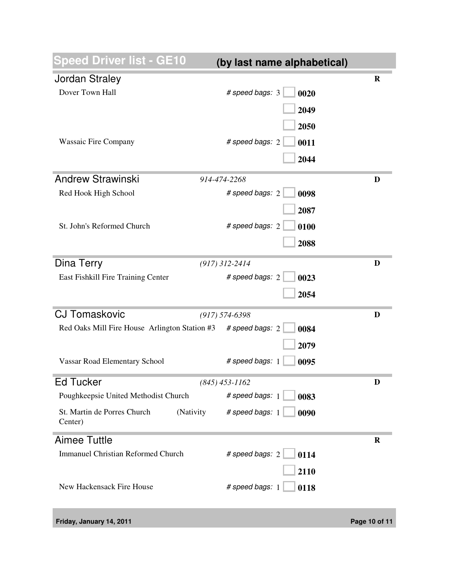| peed Driver list - GE10                             | (by last name alphabetical) |             |
|-----------------------------------------------------|-----------------------------|-------------|
| <b>Jordan Straley</b>                               |                             | $\mathbf R$ |
| Dover Town Hall                                     | # speed bags: 3<br>0020     |             |
|                                                     | 2049                        |             |
|                                                     | 2050                        |             |
| <b>Wassaic Fire Company</b>                         | # speed bags: 2<br>0011     |             |
|                                                     |                             |             |
|                                                     | 2044                        |             |
| <b>Andrew Strawinski</b>                            | 914-474-2268                | D           |
| Red Hook High School                                | # speed bags: 2<br>0098     |             |
|                                                     | 2087                        |             |
| St. John's Reformed Church                          | # speed bags: 2<br>0100     |             |
|                                                     | 2088                        |             |
|                                                     |                             |             |
| Dina Terry                                          | $(917)$ 312-2414            | D           |
| East Fishkill Fire Training Center                  | # speed bags: 2<br>0023     |             |
|                                                     | 2054                        |             |
| <b>CJ Tomaskovic</b>                                | $(917) 574 - 6398$          | D           |
| Red Oaks Mill Fire House Arlington Station #3       | # speed bags: 2<br>0084     |             |
|                                                     | 2079                        |             |
| Vassar Road Elementary School                       | # speed bags: 1<br>0095     |             |
|                                                     |                             |             |
| <b>Ed Tucker</b>                                    | $(845)$ 453-1162            | D           |
| Poughkeepsie United Methodist Church                | # speed bags: 1<br>0083     |             |
| St. Martin de Porres Church<br>(Nativity<br>Center) | # speed bags: 1<br>0090     |             |
| <b>Aimee Tuttle</b>                                 |                             | $\mathbf R$ |
| <b>Immanuel Christian Reformed Church</b>           | # speed bags: 2<br>0114     |             |
|                                                     | 2110                        |             |
| New Hackensack Fire House                           | # speed bags: 1<br>0118     |             |
|                                                     |                             |             |

| Friday, January 14, 2011 |  |  |
|--------------------------|--|--|